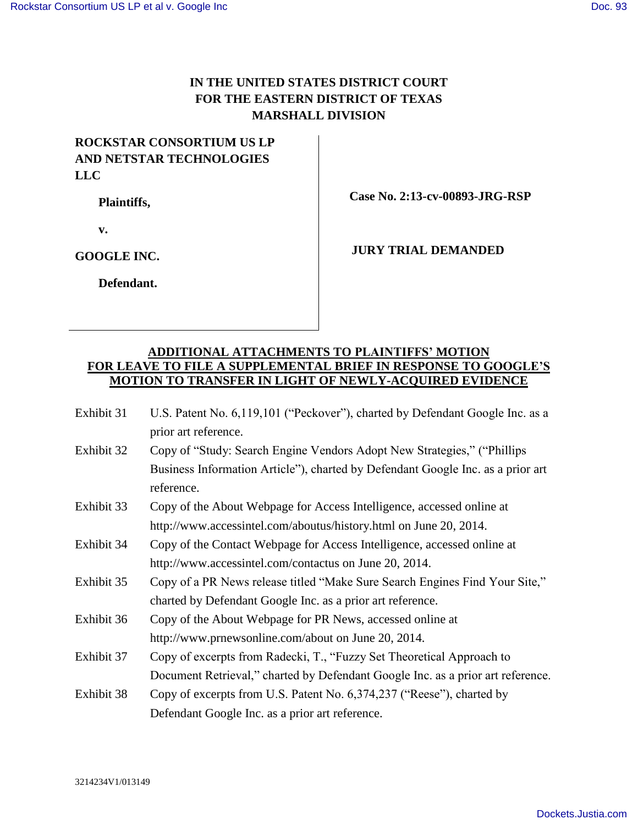## **IN THE UNITED STATES DISTRICT COURT FOR THE EASTERN DISTRICT OF TEXAS MARSHALL DIVISION**

## **ROCKSTAR CONSORTIUM US LP AND NETSTAR TECHNOLOGIES LLC**

**Plaintiffs,**

 **Case No. 2:13-cv-00893-JRG-RSP**

**v.**

**GOOGLE INC.**

**Defendant.**

**JURY TRIAL DEMANDED**

## **ADDITIONAL ATTACHMENTS TO PLAINTIFFS' MOTION FOR LEAVE TO FILE A SUPPLEMENTAL BRIEF IN RESPONSE TO GOOGLE'S MOTION TO TRANSFER IN LIGHT OF NEWLY-ACQUIRED EVIDENCE**

- Exhibit 31 U.S. Patent No. 6,119,101 ("Peckover"), charted by Defendant Google Inc. as a prior art reference.
- Exhibit 32 Copy of "Study: Search Engine Vendors Adopt New Strategies," ("Phillips Business Information Article"), charted by Defendant Google Inc. as a prior art reference.
- Exhibit 33 Copy of the About Webpage for Access Intelligence, accessed online at http://www.accessintel.com/aboutus/history.html on June 20, 2014.
- Exhibit 34 Copy of the Contact Webpage for Access Intelligence, accessed online at http://www.accessintel.com/contactus on June 20, 2014.
- Exhibit 35 Copy of a PR News release titled "Make Sure Search Engines Find Your Site," charted by Defendant Google Inc. as a prior art reference.
- Exhibit 36 Copy of the About Webpage for PR News, accessed online at http://www.prnewsonline.com/about on June 20, 2014.
- Exhibit 37 Copy of excerpts from Radecki, T., "Fuzzy Set Theoretical Approach to Document Retrieval," charted by Defendant Google Inc. as a prior art reference.
- Exhibit 38 Copy of excerpts from U.S. Patent No. 6,374,237 ("Reese"), charted by Defendant Google Inc. as a prior art reference.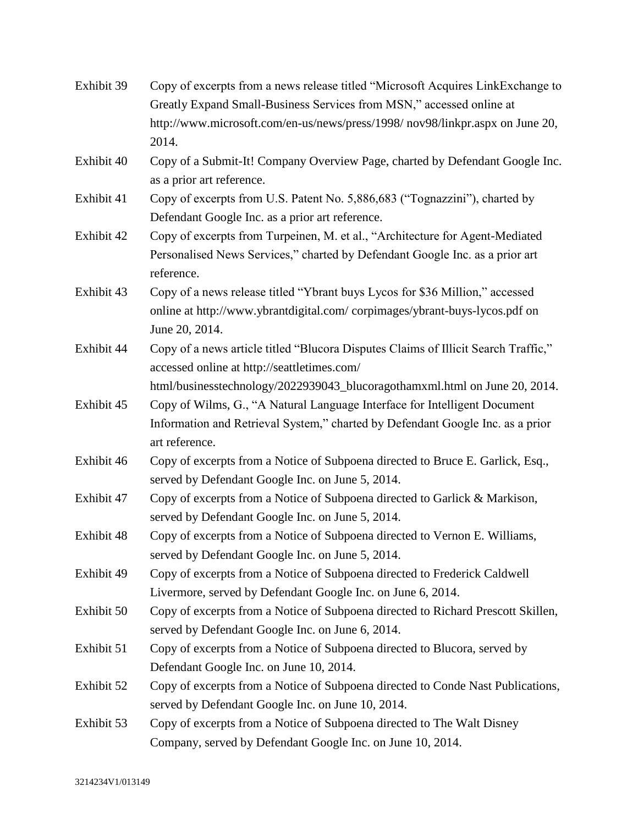| Exhibit 39 | Copy of excerpts from a news release titled "Microsoft Acquires LinkExchange to    |
|------------|------------------------------------------------------------------------------------|
|            | Greatly Expand Small-Business Services from MSN," accessed online at               |
|            | http://www.microsoft.com/en-us/news/press/1998/nov98/linkpr.aspx on June 20,       |
|            | 2014.                                                                              |
| Exhibit 40 | Copy of a Submit-It! Company Overview Page, charted by Defendant Google Inc.       |
|            | as a prior art reference.                                                          |
| Exhibit 41 | Copy of excerpts from U.S. Patent No. 5,886,683 ("Tognazzini"), charted by         |
|            | Defendant Google Inc. as a prior art reference.                                    |
| Exhibit 42 | Copy of excerpts from Turpeinen, M. et al., "Architecture for Agent-Mediated       |
|            | Personalised News Services," charted by Defendant Google Inc. as a prior art       |
|            | reference.                                                                         |
| Exhibit 43 | Copy of a news release titled "Ybrant buys Lycos for \$36 Million," accessed       |
|            | online at http://www.ybrantdigital.com/corpimages/ybrant-buys-lycos.pdf on         |
|            | June 20, 2014.                                                                     |
| Exhibit 44 | Copy of a news article titled "Blucora Disputes Claims of Illicit Search Traffic," |
|            | accessed online at http://seattletimes.com/                                        |
|            | html/businesstechnology/2022939043_blucoragothamxml.html on June 20, 2014.         |
| Exhibit 45 | Copy of Wilms, G., "A Natural Language Interface for Intelligent Document          |
|            | Information and Retrieval System," charted by Defendant Google Inc. as a prior     |
|            | art reference.                                                                     |
| Exhibit 46 | Copy of excerpts from a Notice of Subpoena directed to Bruce E. Garlick, Esq.,     |
|            | served by Defendant Google Inc. on June 5, 2014.                                   |
| Exhibit 47 | Copy of excerpts from a Notice of Subpoena directed to Garlick & Markison,         |
|            | served by Defendant Google Inc. on June 5, 2014.                                   |
| Exhibit 48 | Copy of excerpts from a Notice of Subpoena directed to Vernon E. Williams,         |
|            | served by Defendant Google Inc. on June 5, 2014.                                   |
| Exhibit 49 | Copy of excerpts from a Notice of Subpoena directed to Frederick Caldwell          |
|            | Livermore, served by Defendant Google Inc. on June 6, 2014.                        |
| Exhibit 50 | Copy of excerpts from a Notice of Subpoena directed to Richard Prescott Skillen,   |
|            | served by Defendant Google Inc. on June 6, 2014.                                   |
| Exhibit 51 | Copy of excerpts from a Notice of Subpoena directed to Blucora, served by          |
|            | Defendant Google Inc. on June 10, 2014.                                            |
| Exhibit 52 | Copy of excerpts from a Notice of Subpoena directed to Conde Nast Publications,    |
|            | served by Defendant Google Inc. on June 10, 2014.                                  |
| Exhibit 53 | Copy of excerpts from a Notice of Subpoena directed to The Walt Disney             |
|            | Company, served by Defendant Google Inc. on June 10, 2014.                         |